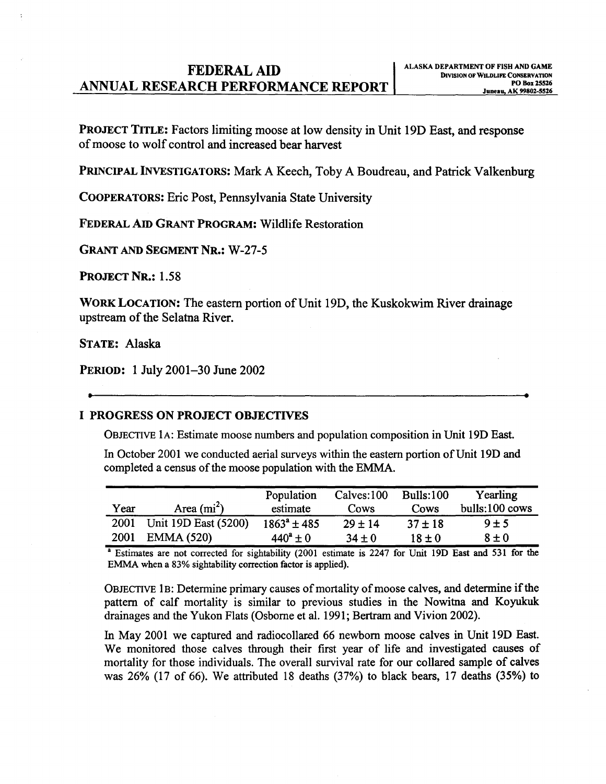## **FEDERAL AID**<br>**DIVISION OF WILDLIFE CONSERVATION**<br>PO Box 25526 ANNUAL RESEARCH PERFORMANCE REPORT | POBOX 25526

PROJECT TITLE: Factors limiting moose at low density in Unit 19D East, and response ofmoose to wolf control and increased bear harvest

PRINCIPAL INVESTIGATORS: Mark A Keech, Toby A Boudreau, and Patrick Valkenburg

COOPERATORS: Eric Post, Pennsylvania State University

FEDERAL Am GRANT PROGRAM: Wildlife Restoration

GRANT AND SEGMENT NR.: W-27-5

PROJECT NR.: 1.58

WORK LOCATION: The eastern portion of Unit 19D, the Kuskokwim River drainage upstream of the Selatna River.

STATE: Alaska

PERIOD: 1 July 2001-30 June 2002

#### I PROGRESS ON PROJECT OBJECTIVES

OBJECTIVE lA: Estimate moose numbers and population composition in Unit 19D East.

In October 2001 we conducted aerial surveys within the eastern portion of Unit 19D and completed a census of the moose population with the EMMA.

| Year | Area $(mi^2)$        | Population<br>estimate | Calves:100<br>Cows | <b>Bulls:100</b><br>Cows | Yearling<br>bulls:100 cows |
|------|----------------------|------------------------|--------------------|--------------------------|----------------------------|
| 2001 | Unit 19D East (5200) | $1863^a \pm 485$       | $29 \pm 14$        | $37 \pm 18$              | 9±5                        |
| 2001 | <b>EMMA (520)</b>    | $440^a \pm 0$          | $34 \pm 0$         | 18±0                     | $8 \pm 0$                  |

a Estimates are not corrected for sightability (2001 estimate is 2247 for Unit 19D East and 531 for the EMMA when a 83% sightability correction factor is applied).

OBJECTIVE 1B: Determine primary causes of mortality of moose calves, and determine if the pattern of calf mortality is similar to previous studies in the Nowitna and Koyukuk drainages and the Yukon Flats (Osborne et al. 1991; Bertram and Vivion 2002).

In May 2001 we captured and radiocollared 66 newborn moose calves in Unit 19D East. We monitored those calves through their first year of life and investigated causes of mortality for those individuals. The overall survival rate for our collared sample of calves was 26% (17 of 66). We attributed 18 deaths (37%) to black bears, 17 deaths (35%) to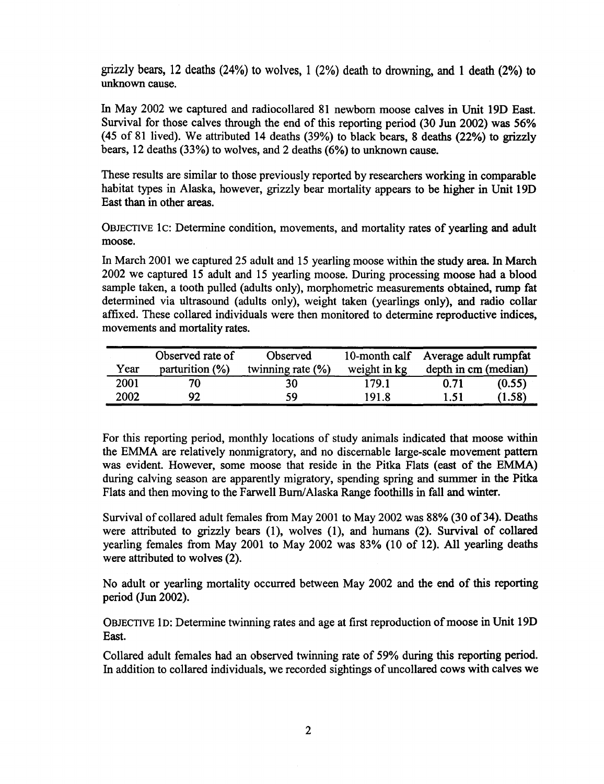grizzly bears, 12 deaths (24%) to wolves, 1 (2%) death to drowning, and 1 death (2%) to unknown cause.

In May 2002 we captured and radiocollared 81 newborn moose calves in Unit 19D East. Survival for those calves through the end of this reporting period (30 Jun 2002) was 56% (45 of 81 lived). We attributed 14 deaths (39%) to black bears, 8 deaths (22%) to grizzly bears, 12 deaths (33%) to wolves, and 2 deaths (6%) to unknown cause.

These results are similar to those previously reported by researchers working in comparable habitat types in Alaska, however, grizzly bear mortality appears to be higher in Unit 19D East than in other areas.

OBJECTIVE 1c: Determine condition, movements, and mortality rates of yearling and adult moose.

In March 2001 we captured 25 adult and 15 yearling moose within the study area. In March 2002 we captured 15 adult and 15 yearling moose. During processing moose had a blood sample taken, a tooth pulled (adults only), morphometric measurements obtained, rump fat determined via ultrasound (adults only), weight taken (yearlings only), and radio collar affixed. These collared individuals were then monitored to determine reproductive indices, movements and mortality rates.

|      | Observed rate of   | Observed              |              | 10-month calf Average adult rumpfat |        |  |
|------|--------------------|-----------------------|--------------|-------------------------------------|--------|--|
| Year | parturition $(\%)$ | twinning rate $(\% )$ | weight in kg | depth in cm (median)                |        |  |
| 2001 |                    | 30                    | 179.1        | 0.71                                | (0.55) |  |
| 2002 | 92                 | 59                    | 191.8        | 1.51                                | (1.58) |  |

For this reporting period, monthly locations of study animals indicated that moose within the EMMA are relatively nonmigratory, and no discemable large-scale movement pattern was evident. However, some moose that reside in the Pitka Flats (east of the EMMA) during calving season are apparently migratory, spending spring and summer in the Pitka Flats and then moving to the Farwell Burn/ Alaska Range foothills in fall and winter.

Survival of collared adult females from May 2001 to May 2002 was 88% (30 of 34). Deaths were attributed to grizzly bears (1), wolves (1), and humans (2). Survival of collared yearling females from May 2001 to May 2002 was 83% (10 of 12). All yearling deaths were attributed to wolves (2).

No adult or yearling mortality occurred between May 2002 and the end of this reporting period (Jun 2002).

OBJECTIVE ID: Determine twinning rates and age at first reproduction ofmoose in Unit 19D East.

Collared adult females had an observed twinning rate of 59% during this reporting period. In addition to collared individuals, we recorded sightings of uncollared cows with calves we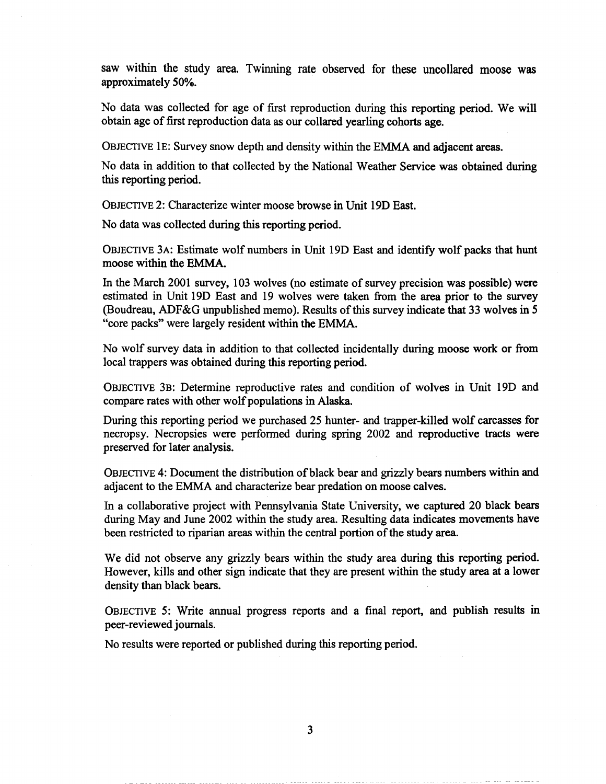saw within the study area. Twinning rate observed for these uncollared moose was approximately 50%.

No data was collected for age of first reproduction during this reporting period. We will obtain age of first reproduction data as our collared yearling cohorts age.

OBJECTIVE lE: Survey snow depth and density within the EMMA and adjacent areas.

No data in addition to that collected by the National Weather Service was obtained during this reporting period.

OBJECTIVE 2: Characterize winter moose browse in Unit 19D East.

No data was collected during this reporting period.

OBJECTIVE 3A: Estimate wolf numbers in Unit 19D East and identify wolf packs that hunt moose within the EMMA.

In the March 2001 survey, 103 wolves (no estimate of survey precision was possible) were estimated in Unit 19D East and 19 wolves were taken from the area prior to the survey (Boudreau, ADF&G unpublished memo). Results ofthis survey indicate that 33 wolves in *5*  "core packs" were largely resident within the EMMA.

No wolf survey data in addition to that collected incidentally during moose work or from local trappers was obtained during this reporting period.

OBJECTIVE 3B: Determine reproductive rates and condition of wolves in Unit 19D and compare rates with other wolf populations in Alaska.

During this reporting period we purchased 25 hunter- and trapper-killed wolf carcasses for necropsy. Necropsies were performed during spring 2002 and reproductive tracts were preserved for later analysis.

OBJECTIVE 4: Document the distribution ofblack bear and grizzly bears numbers within and adjacent to the EMMA and characterize bear predation on moose calves.

In a collaborative project with Pennsylvania State University, we captured 20 black bears during May and June 2002 within the study area. Resulting data indicates movements have been restricted to riparian areas within the central portion of the study area.

We did not observe any grizzly bears within the study area during this reporting period. However, kills and other sign indicate that they are present within the study area at a lower density than black bears.

OBJECTIVE 5: Write annual progress reports and a final report, and publish results in peer-reviewed journals.

No results were reported or published during this reporting period.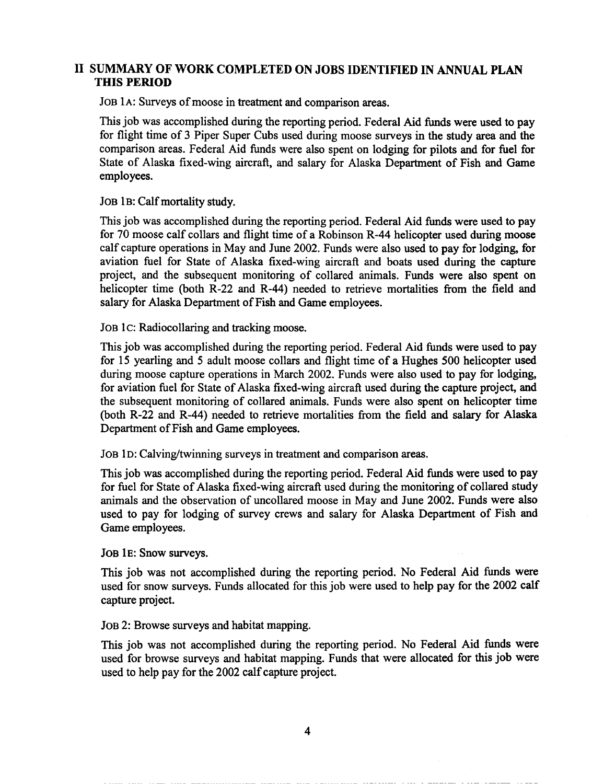## II SUMMARY OF WORK COMPLETED ON JOBS IDENTIFIED IN ANNUAL PLAN THIS PERIOD

JOB 1A: Surveys of moose in treatment and comparison areas.

This job was accomplished during the reporting period. Federal Aid funds were used to pay for flight time of 3 Piper Super Cubs used during moose surveys in the study area and the comparison areas. Federal Aid funds were also spent on lodging for pilots and for fuel for State of Alaska fixed-wing aircraft, and salary for Alaska Department of Fish and Game employees.

JOB lB: Calf mortality study.

This job was accomplished during the reporting period. Federal Aid funds were used to pay for 70 moose calf collars and flight time of a Robinson R-44 helicopter used during moose calf capture operations in May and June 2002. Funds were also used to pay for lodging, for aviation fuel for State of Alaska fixed-wing aircraft and boats used during the capture project, and the subsequent monitoring of collared animals. Funds were also spent on helicopter time (both R-22 and R-44) needed to retrieve mortalities from the field and salary for Alaska Department of Fish and Game employees.

JOB 1C: Radiocollaring and tracking moose.

This job was accomplished during the reporting period. Federal Aid funds were used to pay for 15 yearling and 5 adult moose collars and flight time of a Hughes 500 helicopter used during moose capture operations in March 2002. Funds were also used to pay for lodging, for aviation fuel for State of Alaska fixed-wing aircraft used during the capture project, and the subsequent monitoring of collared animals. Funds were also spent on helicopter time (both R-22 and R-44) needed to retrieve mortalities from the field and salary for Alaska Department of Fish and Game employees.

JOB 1D: Calving/twinning surveys in treatment and comparison areas.

This job was accomplished during the reporting period. Federal Aid funds were used to pay for fuel for State of Alaska fixed-wing aircraft used during the monitoring of collared study animals and the observation of uncollared moose in May and June 2002. Funds were also used to pay for lodging of survey crews and salary for Alaska Department of Fish and Game employees.

JOB lE: Snow surveys.

This job was not accomplished during the reporting period. No Federal Aid funds were used for snow surveys. Funds allocated for this job were used to help pay for the 2002 calf capture project.

JOB 2: Browse surveys and habitat mapping.

This job was not accomplished during the reporting period. No Federal Aid funds were used for browse surveys and habitat mapping. Funds that were allocated for this job were used to help pay for the 2002 calf capture project.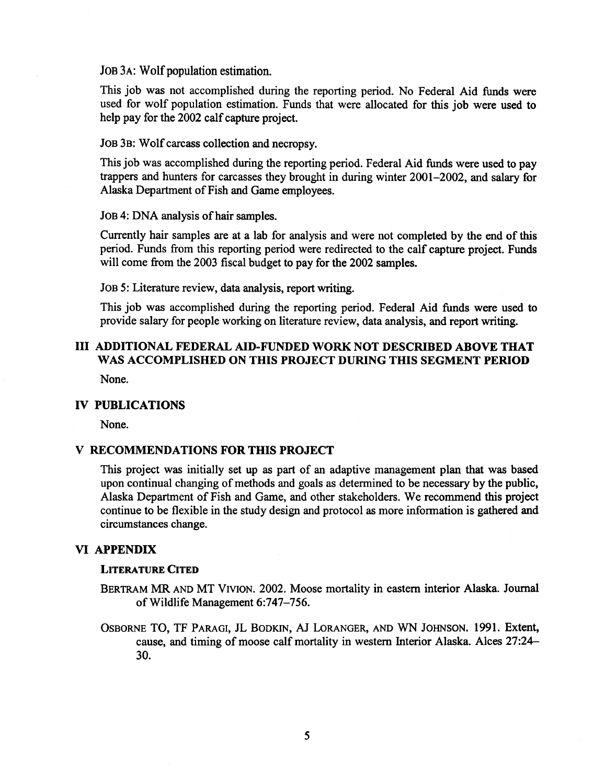JOB 3A: Wolf population estimation.

This job was not accomplished during the reporting period. No Federal Aid funds were used for wolf population estimation. Funds that were allocated for this job were used to help pay for the 2002 calf capture project.

JOB 3B: Wolf carcass collection and necropsy.

This job was accomplished during the reporting period. Federal Aid funds were used to pay trappers and hunters for carcasses they brought in during winter 2001-2002, and salary for Alaska Department of Fish and Game employees.

JOB 4: DNA analysis of hair samples.

Currently hair samples are at a lab for analysis and were not completed by the end of this period. Funds from this reporting period were redirected to the calf capture project. Funds will come from the 2003 fiscal budget to pay for the 2002 samples.

JOB 5: Literature review, data analysis, report writing.

This job was accomplished during the reporting period. Federal Aid funds were used to provide salary for people working on literature review, data analysis, and report writing.

# III ADDITIONAL FEDERAL AID-FUNDED WORK NOT DESCRIBED ABOVE THAT WAS ACCOMPLISHED ON THIS PROJECT DURING THIS SEGMENT PERIOD

None.

## IV PUBLICATIONS

None.

### V RECOMMENDATIONS FOR THIS PROJECT

This project was initially set up as part of an adaptive management plan that was based upon continual changing of methods and goals as determined to be necessary by the public. Alaska Department of Fish and Game, and other stakeholders. We recommend this project continue to be flexible in the study design and protocol as more information is gathered and circumstances change.

#### VI APPENDIX

#### LITERATURE CITED

- BERTRAM MR AND MT VIVION. 2002. Moose mortality in eastern interior Alaska. Journal ofWildlife Management 6:747-756.
- OSBORNE TO, TF PARAGI, JL BODKIN, AJ LORANGER, AND WN JOHNSON. 1991. Extent, cause, and timing of moose calf mortality in western Interior Alaska. Alces 27:24 30.